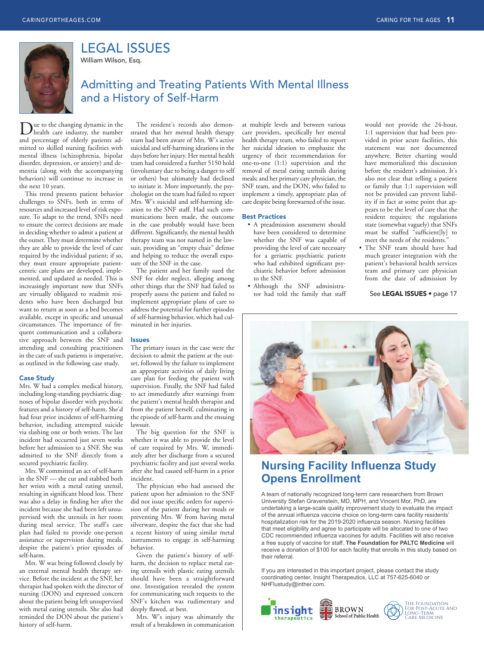

LEGAL ISSUES

William Wilson, Esq.

# Admitting and Treating Patients With Mental Illness and a History of Self-Harm

Due to the changing dynamic in the health care industry, the number and percentage of elderly patients admitted to skilled nursing facilities with mental illness (schizophrenia, bipolar disorder, depression, or anxiety) and dementia (along with the accompanying behaviors) will continue to increase in the next 10 years.

This trend presents patient behavior challenges to SNFs, both in terms of resources and increased level of risk exposure. To adapt to the trend, SNFs need to ensure the correct decisions are made in deciding whether to admit a patient at the outset. They must determine whether they are able to provide the level of care required by the individual patient; if so, they must ensure appropriate patientcentric care plans are developed, implemented, and updated as needed. This is increasingly important now that SNFs are virtually obligated to readmit residents who have been discharged but want to return as soon as a bed becomes available, except in specific and unusual circumstances. The importance of frequent communication and a collaborative approach between the SNF and attending and consulting practitioners in the care of such patients is imperative, as outlined in the following case study.

### Case Study

Mrs. W had a complex medical history, including long-standing psychiatric diagnoses of bipolar disorder with psychotic features and a history of self-harm. She'd had four prior incidents of self-harming behavior, including attempted suicide via slashing one or both wrists. The last incident had occurred just seven weeks before her admission to a SNF. She was admitted to the SNF directly from a secured psychiatric facility.

Mrs. W committed an act of self-harm in the SNF — she cut and stabbed both her wrists with a metal eating utensil, resulting in significant blood loss. There was also a delay in finding her after the incident because she had been left unsupervised with the utensils in her room during meal service. The staff's care plan had failed to provide one-person assistance or supervision during meals, despite the patient's prior episodes of self-harm.

Mrs. W was being followed closely by an external mental health therapy service. Before the incident at the SNF, her therapist had spoken with the director of nursing (DON) and expressed concern about the patient being left unsupervised with metal eating utensils. She also had reminded the DON about the patient's history of self-harm.

The resident's records also demonstrated that her mental health therapy team had been aware of Mrs. W's active suicidal and self-harming ideations in the days before her injury. Her mental health team had considered a further 5150 hold (involuntary due to being a danger to self or others) but ultimately had declined to initiate it. More importantly, the psychologist on the team had failed to report Mrs. W's suicidal and self-harming ideation to the SNF staff. Had such communications been made, the outcome in the case probably would have been different. Significantly, the mental health therapy team was not named in the lawsuit, providing an "empty chair" defense and helping to reduce the overall exposure of the SNF in the case.

The patient and her family sued the SNF for elder neglect, alleging among other things that the SNF had failed to properly assess the patient and failed to implement appropriate plans of care to address the potential for further episodes of self-harming behavior, which had culminated in her injuries.

#### Issues

The primary issues in the case were the decision to admit the patient at the outset, followed by the failure to implement an appropriate activities of daily living care plan for feeding the patient with supervision. Finally, the SNF had failed to act immediately after warnings from the patient's mental health therapist and from the patient herself, culminating in the episode of self-harm and the ensuing lawsuit.

The big question for the SNF is whether it was able to provide the level of care required by Mrs. W, immediately after her discharge from a secured psychiatric facility and just several weeks after she had caused self-harm in a prior incident.

The physician who had assessed the patient upon her admission to the SNF did not issue specific orders for supervision of the patient during her meals or preventing Mrs. W from having metal silverware, despite the fact that she had a recent history of using similar metal instruments to engage in self-harming behavior.

Given the patient's history of selfharm, the decision to replace metal eating utensils with plastic eating utensils should have been a straightforward one. Investigation revealed the system for communicating such requests to the SNF's kitchen was rudimentary and deeply flawed, at best.

Mrs. W's injury was ultimately the result of a breakdown in communication

at multiple levels and between various care providers, specifically her mental health therapy team, who failed to report her suicidal ideation to emphasize the urgency of their recommendation for one-to-one (1:1) supervision and the removal of metal eating utensils during meals; and her primary care physician, the SNF team, and the DON, who failed to implement a timely, appropriate plan of care despite being forewarned of the issue.

### Best Practices

- A preadmission assessment should have been considered to determine whether the SNF was capable of providing the level of care necessary for a geriatric psychiatric patient who had exhibited significant psychiatric behavior before admission to the SNF.
- Although the SNF administrator had told the family that staff

would not provide the 24-hour, 1:1 supervision that had been provided in prior acute facilities, this statement was not documented anywhere. Better charting would have memorialized this discussion before the resident's admission. It's also not clear that telling a patient or family that 1:1 supervision will not be provided can prevent liability if in fact at some point that appears to be the level of care that the resident requires; the regulations state (somewhat vaguely) that SNFs must be staffed "sufficient[ly] to meet the needs of the residents."

• The SNF team should have had much greater integration with the patient's behavioral health services team and primary care physician from the date of admission by

See LEGAL ISSUES · page 17



# **Nursing Facility Influenza Study 2DB** Opens Enrollment

A team of nationally recognized long-term care researchers from Brown University Stefan Gravenstein, MD, MPH, and Vincent Mor, PhD, are undertaking a large-scale quality improvement study to evaluate the impact of the annual influenza vaccine choice on long-term care facility residents' hospitalization risk for the 2019-2020 influenza season. Nursing facilities that meet eligibility and agree to participate will be allocated to one of two CDC recommended influenza vaccines for adults. Facilities will also receive a free supply of vaccine for staff. The Foundation for PALTC Medicine will receive a donation of \$100 for each facility that enrolls in this study based on their referral.

If you are interested in this important project, please contact the study coordinating center, Insight Therapeutics, LLC at 757-625-6040 or NHFlustudy@inther.com.